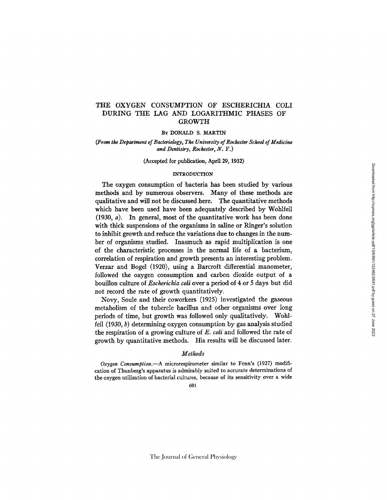## THE OXYGEN CONSUMPTION OF ESCHERICHIA COLI DURING THE LAG AND LOGARITHMIC PHASES OF GROWTH

### BY DONALD S. MARTIN

## *(From the Department o] Bacteriology, The University of Rochester School of Medicine and Dentistry, Rochester, N. Y.)*

#### (Accepted for publication, April 29, 1932)

## INTRODUCTION

The oxygen consumption of bacteria has been studied by various methods and by numerous observers. Many of these methods are qualitative and will not be discussed here. The quantitative methods which have been used have been adequately described by Wohlfeil (1930, a). In general, most of the quantitative work has been done with thick suspensions of the organisms in saline or Ringer's solution to inhibit growth and reduce the variations due to changes in the number of organisms studied. Inasmuch as rapid multiplication is one of the characteristic processes in the normal life of a bacterium, correlation of respiration and growth presents an interesting problem. Verzar and Bogel (1920), using a Barcroft differential manometer, followed the oxygen consumption and carbon dioxide output of a bouillon culture of *Escherichia coli* over a period of 4 or 5 days but did not record the rate of growth quantitatively.

Novy, Soule and their coworkers (1925) investigated the gaseous metabolism of the tubercle bacillus and other organisms over long periods of time, but growth was followed only qualitatively. Wohlfeil  $(1930, b)$  determining oxygen consumption by gas analysis studied the respiration of a growing culture of *E. coli* and followed the rate of growth by quantitative methods. His results will be discussed later.

## *Methods*

*Oxygen Consumption.--A* microrespirometer similar to Fenn's (1927) modification of Thunberg's apparatus is admirably suited to accurate determinations of the oxygen utilization of bacterial cultures, because of its sensitivity over a wide

691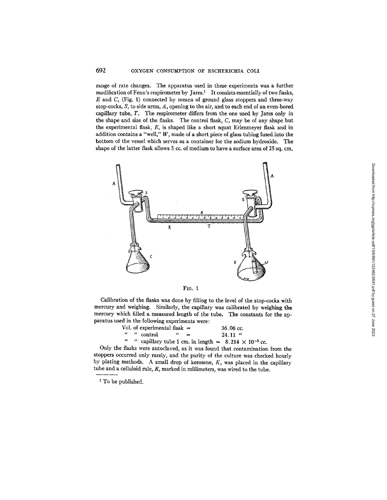## 692 OXYGEN CONSUMPTION OF ESCHERICHIA COLI

range of rate changes. The apparatus used in these experiments was a further modification of Fenn's respirometer by Jares.<sup>1</sup> It consists essentially of two flasks,  $E$  and  $C$ , (Fig. 1) connected by means of ground glass stoppers and three-way stop-cocks, S, to side arms, A, opening to the air, and to each end of an even-bored capillary tube, T. The respirometer differs from the one used by Jares only in the shape and size of the flasks. The control flask, C, may be of any shape but the experimental flask, E, is shaped like a short squat Erlenmeyer flask and in addition contains a "well,"  $W$ , made of a short piece of glass tubing fused into the bottom of the vessel which serves as a container for the sodium hydroxide. The shape of the latter flask allows 5 cc. of medium to have a surface area of 25 sq. cm.



Fic. 1

Calibration of the flasks was done by filling to the level of the stop-cocks with mercury and weighing. Similarly, the capillary was calibrated by weighing the mercury which filled a measured length of the tube. The constants for the apparatus used in the following experiments were:

|  | Vol. of experimental flask $=$ |  | $36.06 \text{ cc.}$                                             |
|--|--------------------------------|--|-----------------------------------------------------------------|
|  | " " control $" =$              |  | $24.11$ "                                                       |
|  |                                |  | " " capillary tube 1 cm. in length $= 8.214 \times 10^{-3}$ cc. |

Only the flasks were autoclaved, as it was found that contamination from the stoppers occurred only rarely, and the purity of the culture was checked hourly by plating methods. A small drop of kerosene, *K,* was placed in the capillary tube and a celluloid rule,  $R$ , marked in millimeters, was wired to the tube.

<sup>1</sup> To be published.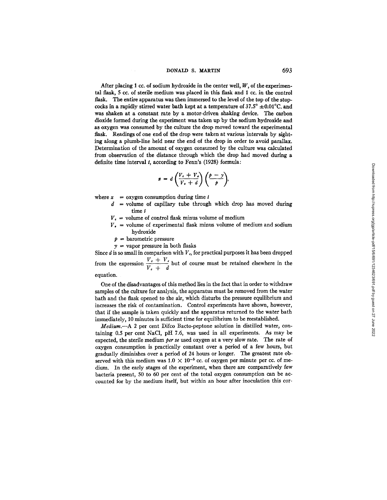After placing 1 cc. of sodium hydroxide in the center well,  $W$ , of the experimental flask, 5 cc. of sterile medium was placed in this flask and 1 cc. in the control flask. The entire apparatus was then immersed to the level of the top of the stopcocks in a rapidly stirred water bath kept at a temperature of  $37.5^{\circ} \pm 0.01^{\circ}$ C. and was shaken at a constant rate by a motor-driven shaking device. The carbon dioxide formed during the experiment was taken up by the sodium hydroxide and as oxygen was consumed by the culture the drop moved toward the experimental flask. Readings of one end of the drop were taken at various intervals by sighting along a plumb-line held near the end of the drop in order to avoid parallax. Determination of the amount of oxygen consumed by the culture was calculated from observation of the distance through which the drop had moved during a definite time interval  $t$ , according to Fenn's (1928) formula:

$$
x = d\left(\frac{V_c + V_s}{V_c + d}\right)\left(\frac{p - y}{p}\right),\,
$$

where  $x = 0$  avere consumption during time t

- $d =$ volume of capillary tube through which drop has moved during time t
	- $V_c$  = volume of control flask minus volume of medium
- $V_{\bullet}$  = volume of experimental flask minus volume of medium and sodium hydroxide
	- $p =$  barometric pressure
- $y =$  vapor pressure in both flasks

Since  $d$  is so small in comparison with  $V_c$ , for practical purposes it has been dropped from the expression  $\frac{V_c + V_c}{V_c + d}$  but of course must be retained elsewhere in the

#### equation.

One of the disadvantages of this method lies in the fact that in order to withdraw samples of the culture for analysis, the apparatus must be removed from the water bath and the flask opened to the air, which disturbs the pressure equilibrium and increases the risk of contamination. Control experiments have shown, however, that if the sample is taken quickly and the apparatus returned to the water bath immediately, 10 minutes is sufficient time for equilibrium to be reestablished.

*Medium.--A* 2 per cent Difco Bacto-peptone solution in distilled water, containing 0.5 per cent NaC1, pH 7.6, was used in all experiments. As may be expected, the sterile medium *per se* used oxygen at a very slow rate. The rate of oxygen consumption is practically constant over a period of a few hours, but gradually diminishes over a period of 24 hours or longer. The greatest rate observed with this medium was  $1.0 \times 10^{-5}$  cc. of oxygen per minute per cc. of medium. In the early stages of the experiment, when there are comparatively few bacteria present, 50 to 60 per cent of the total oxygen consumption can be accounted for by the medium itself, but within an hour after inoculation this cor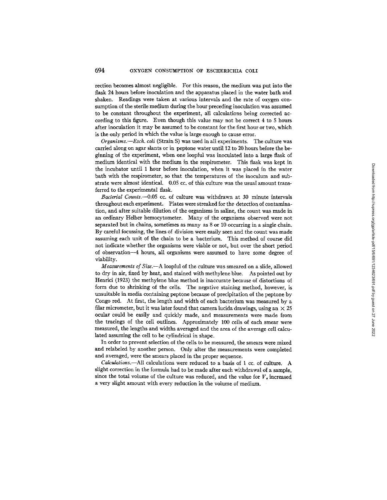rection becomes almost negligible. For this reason, the medium was put into the flask 24 hours before inoculation and the apparatus placed in the water bath and shaken. Readings were taken at various intervals and the rate of oxygen consumption of the sterile medium during the hour preceding inoculation was assumed to be constant throughout the experiment, all calculations being corrected according to this figure. Even though this value may not be correct 4 to 5 hours after inoculation it may be assumed to be constant for the first hour or two, which is the only period in which the value is large enough to cause error.

*Organisms.--Esch. coli* (Strain S) was used in all experiments. The culture was carried along on agar slants or in peptone water until 12 to 20 hours before the beginning of the experiment, when one loopful was inoculated into a large flask of medium identical with the medium in the respirometer. This flask was kept in the incubator until 1 hour before inoculation, when it was placed in the water bath with the respirometer, so that the temperatures of the inoculum and substrate were almost identical. 0.05 cc. of this culture was the usual amount transferred to the experimental flask.

*Bacterial Counts.--O.O5* cc. of culture was withdrawn at 30 minute intervals throughout each experiment. Plates were streaked for the detection of contamination, and after suitable dilution of the organisms in saline, the count was made in an ordinary Helber hemocytometer. Many of the organisms observed were not separated but in chains, sometimes as many as 8 or 10 occurring in a single chain. By careful focussing, the lines of division were easily seen and the count was made assuming each unit of the chain to be a bacterium. This method of course did not indicate whether the organisms were viable or not, but over the short period of observation--4 hours, all organisms were assumed to have some degree of viability.

*Measurements of Size.--A* loopful of the culture was smeared on a slide, allowed to dry in air, fixed by heat, and stained with methylene blue. As pointed out by Henrici (1923) the methylene blue method is inaccurate because of distortions of form due to shrinking of the cells. The negative staining method, however, is unsuitable in media containing peptone because of precipitation of the peptone by Congo red. At first, the length and width of each bacterium was measured by a filar micrometer, but it was later found that camera lucida drawings, using an  $\times$  25 ocular could be easily and quickly made, and measurements were made from the tracings of the cell outlines. Approximately 100 ceils of each smear were measured, the lengths and widths averaged and the area of the average cell calculated assuming the cell to be cylindrical in shape.

In order to prevent selection of the cells to be measured, the smears were mixed and relabeled by another person. Only after the measurements were completed and averaged, were the smears placed in the proper sequence.

*Calculations.--All* calculations were reduced to a basis of 1 cc. of culture. A slight correction in the formula had to be made after each withdrawal of a sample, since the total volume of the culture was reduced, and the value for  $V<sub>r</sub>$  increased a very slight amount with every reduction in the volume of medium.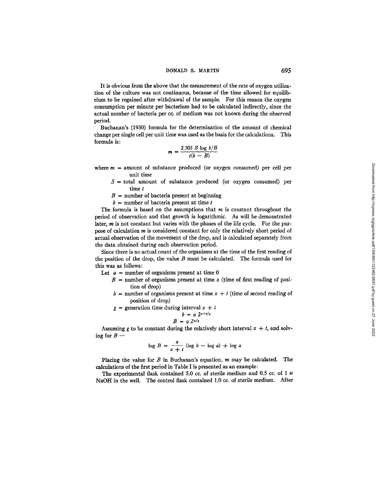#### **DONALD S. MARTIN" 695**

It is obvious from the above that the measurement of the rate of oxygen utilization of the culture was not continuous, because of the time allowed for equilibrium to be regained after withdrawal of the sample. For this reason the oxygen consumption per minute per bacterium had to be calculated indirectly, since the actual number of bacteria per cc. of medium was not known during the observed period.

Buchanan's (1930) formula for the determination of the amount of chemical change per single cell per unit time was used as the basis for the calculations. This formula is:

$$
m = \frac{2.303 \text{ S log } b/B}{t(b - B)}
$$

where  $m =$  amount of substance produced (or oxygen consumed) per cell per unit time

 $S =$  total amount of substance produced (or oxygen consumed) per time t

 $B =$  number of bacteria present at beginning

 $b =$  number of bacteria present at time t

The formula is based on the assumptions that  $m$  is constant throughout the period of observation and that growth is logarithmic. As will be demonstrated later,  $m$  is not constant but varies with the phases of the life cycle. For the purpose of calculation m is considered constant for only the relatively short period of actual observation of the movement of the drop, and is calculated separately from the data obtained during each observation period.

Since there is no actual count of the organisms at the time of the first reading of the position of the drop, the value  $B$  must be calculated. The formula used for this was as follows:

Let  $a =$  number of organisms present at time 0

- $B =$  number of organisms present at time x (time of first reading of position of drop)
- $b =$  number of organisms present at time  $x + t$  (time of second reading of position of drop)

 $g =$  generation time during interval  $x + t$ 

$$
b = a 2^{x+t/a}
$$

$$
B = a 2^{x/a}
$$

Assuming g to be constant during the relatively short interval 
$$
x + t
$$
, and solving for  $B$  —

$$
\log B = \frac{x}{x+t} (\log b - \log a) + \log a
$$

Placing the value for  $B$  in Buchanan's equation,  $m$  may be calculated. The calculations of the first period in Table I is presented as an example:

The experimental flask contained 5.0 cc. of sterile medium and 0.5 cc. of 1  $\mu$ NaOH in the well. The control flask contained 1.0 cc. of sterile medium. After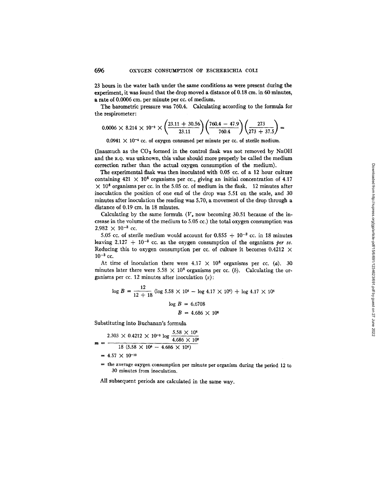23 hours in the water bath under the same conditions as were present during the experiment, it was found that the drop moved a distance of 0.18 cm. in 60 minutes, a rate of 0.0006 cm. per minute per cc. of medium.

The barometric pressure was 760.4. Calculating according to the formula for the respirometer:

$$
0.0006 \times 8.214 \times 10^{-3} \times \left(\frac{23.11 + 30.56}{23.11}\right) \left(\frac{760.4 - 47.9}{760.4}\right) \left(\frac{273}{273 + 37.5}\right) =
$$

 $0.0941 \times 10^{-4}$  cc. of oxygen consumed per minute per cc. of sterile medium.

(Inasmuch as the  $CO<sub>2</sub>$  formed in the control flask was not removed by NaOH and the X.Q. was unknown, this value should more properly be called the medium correction rather than the actual oxygen consumption of the medium).

The experimental flask was then inoculated with 0.05 cc. of a 12 hour culture containing  $421 \times 10^6$  organisms per cc., giving an initial concentration of 4.17  $\times$  10<sup>6</sup> organisms per cc. in the 5.05 cc. of medium in the flask. 12 minutes after inoculation the position of one end of the drop was 5.51 on the scale, and 30 minutes after inoculation the reading was 5.70, a movement of the drop through a distance of 0.19 cm. in 18 minutes.

Calculating by the same formula ( $V_e$  now becoming 30.51 because of the increase in the volume of the medium to 5.05 cc.) the total oxygen consumption was  $2.982 \times 10^{-3}$  cc.

5.05 cc. of sterile medium would account for  $0.855 + 10^{-3}$  cc. in 18 minutes leaving  $2.127 + 10^{-3}$  cc. as the oxygen consumption of the organisms *per se*. Reducing this to oxygen consumption per cc. of culture it becomes  $0.4212 \times$  $10^{-3}$  cc.

At time of inoculation there were  $4.17 \times 10^6$  organisms per cc. (a). 30 minutes later there were 5.58  $\times$  10<sup>6</sup> organisms per cc. (b). Calculating the organisms per cc. 12 minutes after inoculation  $(x)$ :

$$
\log B = \frac{12}{12 + 18} (\log 5.58 \times 10^6 - \log 4.17 \times 10^6) + \log 4.17 \times 10^6
$$

$$
\log B = 6.6708
$$

$$
B = 4.686 \times 10^6
$$

Substituting into Buchanan's formula

$$
m = \frac{2.303 \times 0.4212 \times 10^{-3} \log \frac{5.58 \times 10^{6}}{4.686 \times 10^{6}}}{18 (5.58 \times 10^{6} - 4.686 \times 10^{6})}
$$
  
= 4.57 × 10<sup>-12</sup>

 $=$  the average oxygen consumption per minute per organism during the period 12 to 30 minutes from inoculation.

All subsequent periods are calculated in the same way.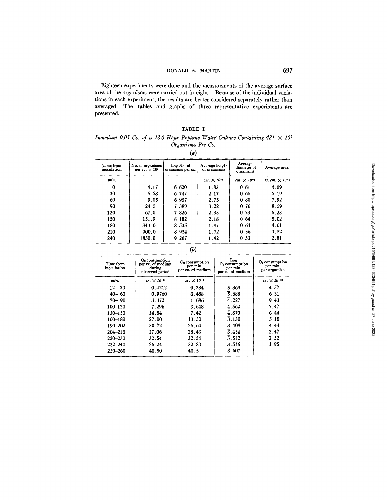## DONALD S. MARTIN 697

Eighteen experiments were done and the measurements of the average surface area of the organisms were carried out in eight. Because of the individual variations in each experiment, the results are better considered separately rather than averaged. The tables and graphs of three representative experiments are presented.

| <b>TABLE</b> |  |
|--------------|--|
|--------------|--|

## *Inoculum 0.05 Cc. of a 12.0 Hour Peptone Water Culture Containing*  $421 \times 10^6$ *Organisms Per Cc.*

*(a)* 

| Time from<br>inoculation | No. of organisms<br>per $cc. \times 10^5$ | Log No. of<br>organisms per cc. | Average length<br>of organisms | Average<br>diameter of<br>organisms | Average area             |  |
|--------------------------|-------------------------------------------|---------------------------------|--------------------------------|-------------------------------------|--------------------------|--|
| min.                     |                                           |                                 | $cm. \times 10^{-4}$           | cm. $\times 10^{-4}$                | sq. $cm. \times 10^{-8}$ |  |
| Ω                        | 4.17                                      | 6.620                           | 1.83                           | 0.61                                | 4.09                     |  |
| 30                       | 5.58                                      | 6.747                           | 2.17                           | 0.66                                | 5.19                     |  |
| 60                       | 9.05                                      | 6.957                           | 2.75                           | 0.80                                | 7.92                     |  |
| 90                       | 24.5                                      | 7.389                           | 3.22                           | 0.76                                | 8.59                     |  |
| 120                      | 67.0                                      | 7.826                           | 2.35                           | 0.73                                | 6.23                     |  |
| 150                      | 151.9                                     | 8.182                           | 2.18                           | 0.64                                | 5.02                     |  |
| 180                      | 343.0                                     | 8.535                           | 1.97                           | 0.64                                | 4.61                     |  |
| 210                      | 900.0                                     | 8.954                           | 1.72                           | 0.56                                | 3.52                     |  |
| 240                      | 1850.0                                    | 9.267                           | 1.42                           | 0.53                                | 2.81                     |  |

| Time from<br>inoculation | O <sub>2</sub> consumption<br>per cc. of medium<br>during<br>observed period | $O2$ consumption<br>per min.<br>per cc. of medium | Log<br>$O2$ consumption<br>per min.<br>per cc. of medium | $O2$ consumption<br>per min.<br>per organism |
|--------------------------|------------------------------------------------------------------------------|---------------------------------------------------|----------------------------------------------------------|----------------------------------------------|
| min.                     | $cc. \times 10^{-3}$                                                         | $cc. \times 10^{-4}$                              |                                                          | $cc. \times 10^{-12}$                        |
| $12 - 30$                | 0.4212                                                                       | 0.234                                             | $\overline{5}.369$                                       | 4.57                                         |
| $40 - 60$                | 0.9760                                                                       | 0.488                                             | $\overline{5}$ . 688                                     | 6.31                                         |
| $70 - 90$                | 3.372                                                                        | 1.686                                             | 4.227                                                    | 9.43                                         |
| 100-120                  | 7.296                                                                        | 3.648                                             | $\overline{4}$ .562                                      | 7.47                                         |
| $130 - 150$              | 14.84                                                                        | 7.42                                              | 4.870                                                    | 6.44                                         |
| 160-180                  | 27.00                                                                        | 13.50                                             | 3.130                                                    | 5.10                                         |
| 190-202                  | 30.72                                                                        | 25.60                                             | 3.408                                                    | 4.44                                         |
| 204-210                  | 17.06                                                                        | 28.43                                             | $\overline{3}$ .454                                      | 3.47                                         |
| 220–230                  | 32.54                                                                        | 32.54                                             | $\overline{3}$ .512                                      | 2.52                                         |
| $232 - 240$              | 26.24                                                                        | 32.80                                             | $\overline{3}$ .516                                      | 1.95                                         |
| 250-260                  | 40.50                                                                        | 40.5                                              | 3.607                                                    |                                              |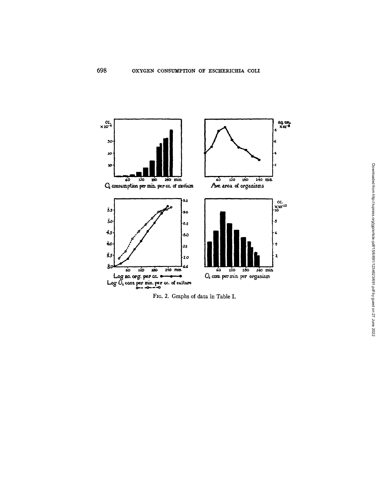

FIG. 2. Graphs of data in Table I.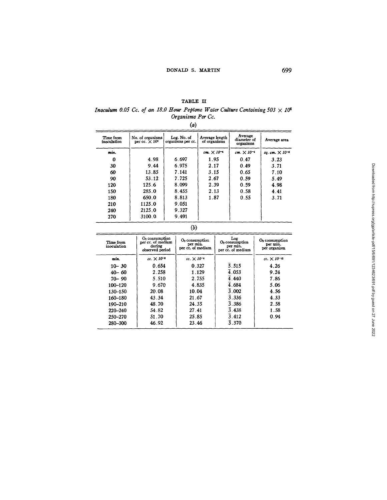# TABLE II

#### *Inoculum 0.05 Cc. of an 18.0 Hour Peptone Water Culture Containing 503*  $\times$  *10*<sup>6</sup> *Organisms Per Cc.*

*(a)* 

| Time from<br>inoculation | No. of organisms<br>per cc. $\times 10^6$ | Log. No. of<br>organisms per cc. | Average length<br>of organisms | Average<br>diameter of<br>organisms | Average area             |
|--------------------------|-------------------------------------------|----------------------------------|--------------------------------|-------------------------------------|--------------------------|
| min.                     |                                           |                                  | $cm. \times 10^{-4}$           | $cm. \times 10^{-4}$                | sq. cm. $\times 10^{-3}$ |
| 0                        | 4.98                                      | 6.697                            | 1.95                           | 0.47                                | 3.23                     |
| 30                       | 9.44                                      | 6.975                            | 2.17                           | 0.49                                | 3.71                     |
| 60                       | 13.85                                     | 7.141                            | 3.15                           | 0.65                                | 7.10                     |
| 90                       | 53.12                                     | 7.725                            | 2.67                           | 0.59                                | 5.49                     |
| 120                      | 125.6                                     | 8.099                            | 2.39                           | 0.59                                | 4.98                     |
| 150                      | 285.0                                     | 8.455                            | 2.13                           | 0.58                                | 4.41                     |
| 180                      | 650.0                                     | 8.813                            | 1.87                           | 0.55                                | 3.71                     |
| 210                      | 1125.0                                    | 9.051                            |                                |                                     |                          |
| 240                      | 2125.0                                    | 9.327                            |                                |                                     |                          |
| 270                      | 3100.0                                    | 9.491                            |                                |                                     |                          |

**(b)** 

| Time from<br>inoculation | $O2$ consumption<br>per cc. of medium<br>during<br>observed period | $O3$ consumption<br>per min.<br>per cc. of medium | Log<br>$O2$ consumption<br>per min.<br>per cc. of medium | $O2$ consumption<br>per min.<br>per organism |
|--------------------------|--------------------------------------------------------------------|---------------------------------------------------|----------------------------------------------------------|----------------------------------------------|
| min.                     | $cc. \times 10^{-4}$                                               | $cc. \times 10^{-4}$                              |                                                          | $cc. \times 10^{-12}$                        |
| $10 - 30$                | 0.654                                                              | 0.327                                             | $\overline{5}$ .515                                      | 4.26                                         |
| $40 - 60$                | 2.258                                                              | 1.129                                             | $\overline{4}$ .053                                      | 9.24                                         |
| $70 - 90$                | 5.510                                                              | 2.755                                             | 4.440                                                    | 7.86                                         |
| 100-120                  | 9.670                                                              | 4.835                                             | 4.684                                                    | 5.06                                         |
| 130-150                  | 20.08                                                              | 10.04                                             | 3.002                                                    | 4.56                                         |
| 160-180                  | 43.34                                                              | 21.67                                             | 3.336                                                    | 4.33                                         |
| 190-210                  | 48.70                                                              | 24.35                                             | 3.386                                                    | 2.58                                         |
| 220-240                  | 54.82                                                              | 27.41                                             | 3.438                                                    | 1.58                                         |
| 250-270                  | 51.70                                                              | 25.85                                             | 3.412                                                    | 0.94                                         |
| 280-300                  | 46.92                                                              | 23.46                                             | 3.370                                                    |                                              |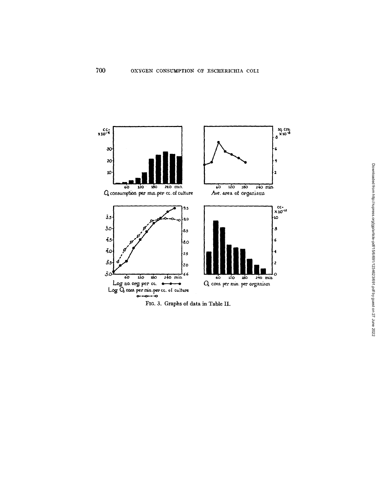

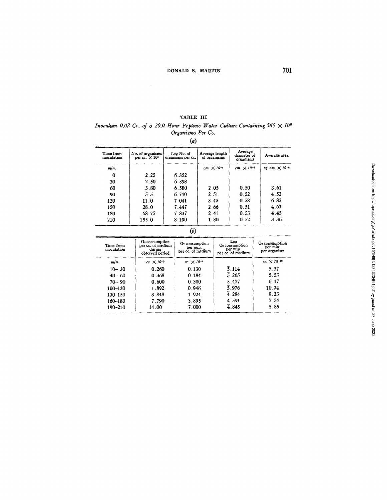## TABLE III

*Inoculum 0.02 Cc. of a 20.0 Hour Peptone Water Culture Containing 565*  $\times$  *10*<sup>6</sup> *Organisms Per Co.* 

*(a)* 

| Time from<br>inoculation | No. of organisms<br>per cc. $\times 10^6$ | Log No. of<br>organisms per cc. | Average length<br>of organisms |                      | Average area             |  |
|--------------------------|-------------------------------------------|---------------------------------|--------------------------------|----------------------|--------------------------|--|
| min.                     |                                           |                                 | $cm. \times 10^{-4}$           | $cm. \times 10^{-4}$ | $sq. cm. \times 10^{-4}$ |  |
| 0                        | 2.25                                      | 6.352                           |                                |                      |                          |  |
| 30                       | 2.50                                      | 6.398                           |                                |                      |                          |  |
| 60                       | 3.80                                      | 6.580                           | 2.05                           | 0.50                 | 3.61                     |  |
| 90                       | 5.5                                       | 6.740                           | 2.51                           | 0.52                 | 4.52                     |  |
| 120                      | 11.0                                      | 7.041                           | 3.45                           | 0.58                 | 6.82                     |  |
| 150                      | 28.0                                      | 7.447                           | 2.66                           | 0.51                 | 4.67                     |  |
| 180                      | 68.75                                     | 7.837                           | 2.41                           | 0.53                 | 4.45                     |  |
| 210                      | 155.0                                     | 8.190                           | 1.80                           | 0.52                 | 3.36                     |  |

**(b)** 

| Time from<br>inoculation | $O3$ consumption<br>per cc. of medium<br>during<br>observed period | $O2$ consumption<br>per min.<br>per cc. of medium | Log<br>$O2$ consumption<br>per min.<br>per cc. of medium | $O2$ consumption<br>per min.<br>per organism |
|--------------------------|--------------------------------------------------------------------|---------------------------------------------------|----------------------------------------------------------|----------------------------------------------|
| min.                     | $cc. \times 10^{-3}$                                               | $cc. \times 10^{-4}$                              |                                                          | $cc. \times 10^{-12}$                        |
| $10 - 30$                | 0.260                                                              | 0.130                                             | $\overline{5}.114$                                       | 5.37                                         |
| $40 - 60$                | 0.368                                                              | 0.184                                             | 5.265                                                    | 5.53                                         |
| $70 - 90$                | 0.600                                                              | 0.300                                             | 5.477                                                    | 6.17                                         |
| 100-120                  | 1.892                                                              | 0.946                                             | $\overline{5}$ .976                                      | 10.74                                        |
| 130-150                  | 3.848                                                              | 1.924                                             | 4.284                                                    | 9.23                                         |
| 160-180                  | 7.790                                                              | 3.895                                             | $\overline{4}$ .591                                      | 7.54                                         |
| 190-210                  | 14.00                                                              | 7.000                                             | $\overline{4}$ .845                                      | 5.85                                         |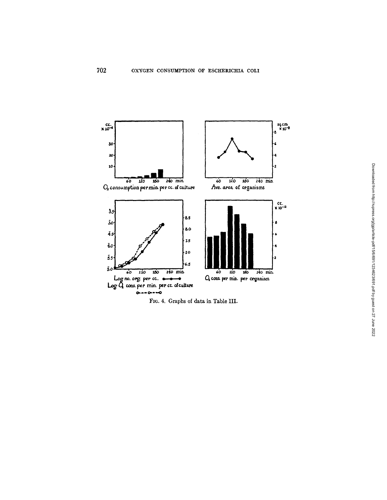

FIG. 4. Graphs of data in Table III.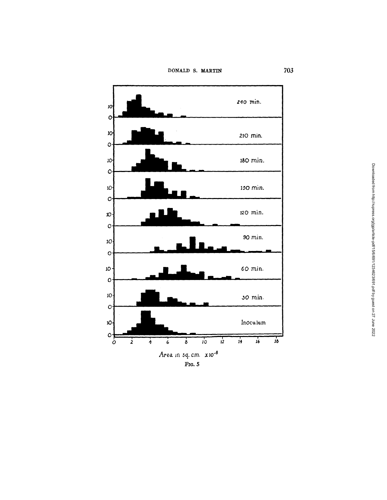DONALD S. MARTIN

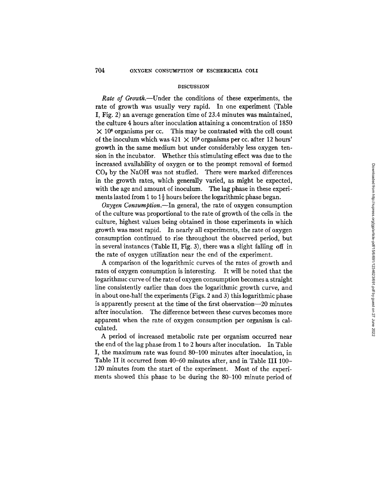#### DISCUSSION

*Rate of Growth*.—Under the conditions of these experiments, the rate of growth was usually very rapid. In one experiment (Table I, Fig. 2) an average generation time of 23.4 minutes was maintained, the culture 4 hours after inoculation attaining a concentration of 1850  $\times$  10<sup>6</sup> organisms per cc. This may be contrasted with the cell count of the inoculum which was  $421 \times 10^6$  organisms per cc. after 12 hours' growth in the same medium but under considerably less oxygen tension in the incubator. Whether this stimulating effect was due to the increased availability of oxygen or to the prompt removal of formed  $CO<sub>2</sub>$  by the NaOH was not studied. There were marked differences in the growth rates, which generally varied, as might be expected, with the age and amount of inoculum. The lag phase in these experiments lasted from 1 to  $1\frac{1}{2}$  hours before the logarithmic phase began.

*Oxygen Consumption.--In* general, the rate of oxygen consumption of the culture was proportional to the rate of growth of the cells in the culture, highest values being obtained in those experiments in which growth was most rapid. In nearly all experiments, the rate of oxygen consumption continued to rise throughout the observed period, but in several instances (Table II, Fig. 3), there was a slight falling off in the rate of oxygen utilization near the end of the experiment.

A comparison of the logarithmic curves of the rates of growth and rates of oxygen consumption is interesting. It will be noted that the logarithmic curve of the rate of oxygen consumption becomes a straight line consistently earlier than does the logarithmic growth curve, and in about one-half the experiments (Figs. 2 and 3) this logarithmic phase is apparently present at the time of the first observation--20 minutes after inoculation. The difference between these curves becomes more apparent when the rate of oxygen consumption per organism is calculated.

A period of increased metabolic rate per organism occurred near the end of the lag phase from 1 to 2 hours after inoculation. In Table I, the maximum rate was found 80-100 minutes after inoculation, in Table II it occurred from 40-60 minutes after, and in Table III 100- 120 minutes from the start of the experiment. Most of the experiments showed this phase to be during the 80-100 minute period of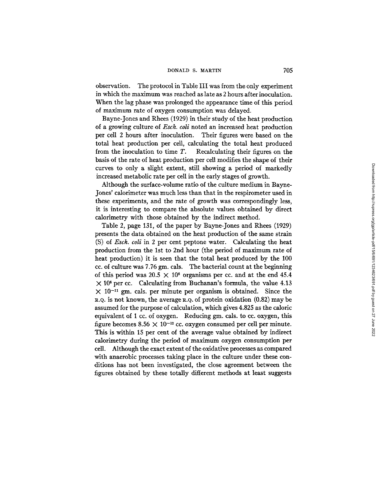#### DONALD S. MARTIN 705

observation. The protocol in Table III was from the only experiment in which the maximum was reached as late as 2 hours after inoculation. When the lag phase was prolonged the appearance time of this period of maximum rate of oxygen consumption was delayed.

Bayne-Jones and Rhees (1929) in their study of the heat production of a growing culture of *Esch. coli* noted an increased heat production per cell 2 hours after inoculation. Their figures were based on the total heat production per cell, calculating the total heat produced from the inoculation to time  $T$ . Recalculating their figures on the basis of the rate of heat production per cell modifies the shape of their curves to only a slight extent, still showing a period of markedly increased metabolic rate per cell in the early stages of growth.

Although the surface-volume ratio of the culture medium in Bayne-Jones' calorimeter was much less than that in the respirometer used in these experiments, and the rate of growth was correspondingly less, it is interesting to compare the absolute values obtained by direct calorimetry with those obtained by the indirect method.

Table 2, page 131, of the paper by Bayne-Jones and Rhees (1929) presents the data obtained on the heat production of the same strain (S) of *Esch. coli* in 2 per cent peptone water. Calculating the heat production from the 1st to 2nd hour (the period of maximum rate of heat production) it is seen that the total heat produced by the 100 cc. of culture was 7.76 gm. cals. The bacterial count at the beginning of this period was  $20.5 \times 10^6$  organisms per cc. and at the end 45.4  $\times$  10<sup>6</sup> per cc. Calculating from Buchanan's formula, the value 4.13  $\times$  10<sup>-11</sup> gm. cals. per minute per organism is obtained. Since the R.Q. is not known, the average R.Q. of protein oxidation (0.82) may be assumed for the purpose of calculation, which gives 4.825 as the caloric equivalent of 1 cc. of oxygen. Reducing gm. cals. to cc. oxygen, this figure becomes 8.56  $\times$  10<sup>-12</sup> cc. oxygen consumed per cell per minute. This is within 15 per cent of the average value obtained by indirect calorimetry during the period of maximum oxygen consumption per cell. Although the exact extent of the oxidative processes as compared with anaerobic processes taking place in the culture under these conditions has not been investigated, the close agreement between the figures obtained by these totally different methods at least suggests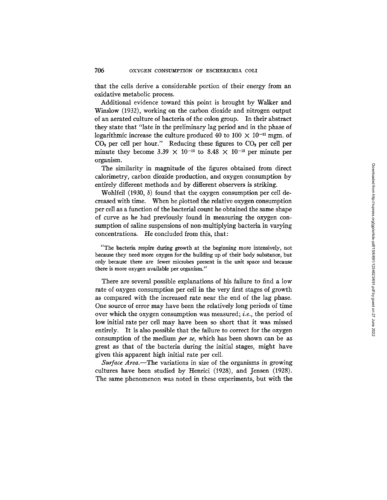that the cells derive a considerable portion of their energy from an oxidative metabolic process.

Additional evidence toward this point is brought by Walker and Winslow (1932), working on the carbon dioxide and nitrogen output of an aerated culture of bacteria of the colon group. In their abstract they state that "late in the preliminary lag period and in the phase of logarithmic increase the culture produced 40 to 100  $\times$  10<sup>-11</sup> mgm. of  $CO<sub>2</sub>$  per cell per hour." Reducing these figures to  $CO<sub>2</sub>$  per cell per minute they become 3.39  $\times$  10<sup>-12</sup> to 8.48  $\times$  10<sup>-12</sup> per minute per organism.

The similarity in magnitude of the figures obtained from direct calorimetry, carbon dioxide production, and oxygen consumption by entirely different methods and by different observers is striking.

Wohlfeil  $(1930, b)$  found that the oxygen consumption per cell decreased with time. When he plotted the relative oxygen consumption per cell as a function of the bacterial count he obtained the same shape of curve as he had previously found in measuring the oxygen consumption of saline suspensions of non-multiplying bacteria in varying concentrations. He concluded from this, that:

"The bacteria respire during growth at the beginning more intensively, not because they need more oxygen for the building up of their body substance, but only because there are fewer microbes present in the unit space and because there is more oxygen available per organism."

There are several possible explanations of his failure to find a low rate of oxygen consumption per cell in the very first stages of growth as compared with the increased rate near the end of the lag phase. One source of error may have been the relatively long periods of time over which the oxygen consumption was measured; *i.e.,* the period of low initial rate per cell may have been so short that it was missed entirely. It is also possible that the failure to correct for the oxygen consumption of the medium *per se,* which has been shown can be as great as that of the bacteria during the initial stages, might have given this apparent high initial rate per cell.

*Surface Area.--The* variations in size of the organisms in growing cultures have been studied by Henrici (1928), and Jensen (1928). The same phenomenon was noted in these experiments, but with the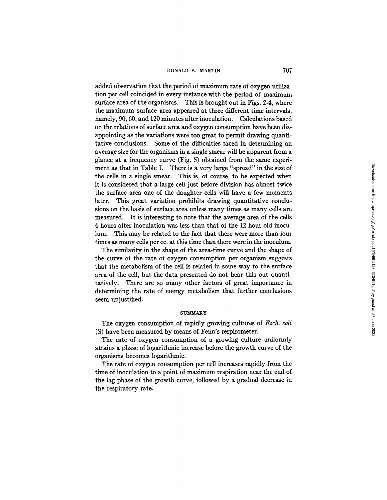added observation that the period of maximum rate of oxygen utilization per cell coincided in every instance with the period of maximum surface area of the organisms. This is brought out in Figs. 2-4, where the maximum surface area appeared at three different time intervals, namely, 90, 60, and 120 minutes after inoculation. Calculations based on the relations of surface area and oxygen consumption have been disappointing as the variations were too great to permit drawing quantitative conclusions. Some of the difficulties faced in determining an average size for the organisms in a single smear will be apparent from a glance at a frequency curve (Fig. 5) obtained from the same experiment as that in Table I. There is a very large "spread" in the size of the cells in a single smear. This is, of course, to be expected when it is considered that a large cell just before division has almost twice the surface area one of the daughter cells will have a few moments later. This great variation prohibits drawing quantitative conclusions on the basis of surface area unless many times as many cells are measured. It is interesting to note that the average area of the cells 4 hours after inoculation was less than that of the 12 hour old inoculum. This may be related to the fact that there were more than four times as many cells per cc. at this time than there were in the inoculum.

The similarity in the shape of the area-time curve and the shape of the curve of the rate of oxygen consumption per organism suggests that the metabolism of the cell is related in some way to the surface area of the cell, but the data presented do not bear this out quantitatively. There are so many other factors of great importance in determining the rate of energy metabolism that further conclusions seem unjustified.

#### **SUMMARY**

The oxygen consumption of rapidly growing cultures of *Esch. coli*  (S) have been measured by means of Fenn's respirometer.

The rate of oxygen consumption of a growing culture uniformly attains a phase of logarithmic increase before the growth curve of the organisms becomes logarithmic.

The rate of oxygen consumption per cell increases rapidly from the time of inoculation to a point of maximum respiration near the end of the lag phase of the growth curve, followed by a gradual decrease in the respiratory rate.